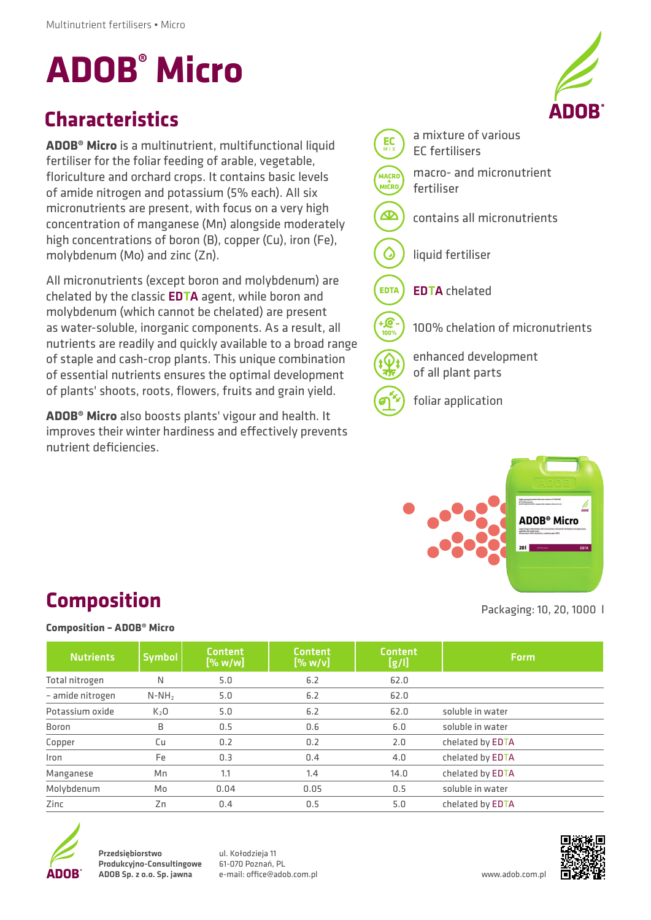# **ADOB® Micro**

#### **Characteristics**

**ADOB® Micro** is a multinutrient, multifunctional liquid fertiliser for the foliar feeding of arable, vegetable, floriculture and orchard crops. It contains basic levels of amide nitrogen and potassium (5% each). All six micronutrients are present, with focus on a very high concentration of manganese (Mn) alongside moderately high concentrations of boron (B), copper (Cu), iron (Fe), molybdenum (Mo) and zinc (Zn).

All micronutrients (except boron and molybdenum) are chelated by the classic EDTA agent, while boron and molybdenum (which cannot be chelated) are present as water-soluble, inorganic components. As a result, all nutrients are readily and quickly available to a broad range of staple and cash-crop plants. This unique combination of essential nutrients ensures the optimal development of plants' shoots, roots, flowers, fruits and grain yield.

**ADOB® Micro** also boosts plants' vigour and health. It improves their winter hardiness and effectively prevents nutrient deficiencies.









### **Composition**

#### **Composition – ADOB® Micro**

| <b>Nutrients</b> | <b>Symbol</b>    | <b>Content</b><br>[% w/w] | <b>Content</b><br>[% w/v] | <b>Content</b><br>[g/l] | <b>Form</b>      |
|------------------|------------------|---------------------------|---------------------------|-------------------------|------------------|
| Total nitrogen   | N                | 5.0                       | 6.2                       | 62.0                    |                  |
| - amide nitrogen | $N-NH2$          | 5.0                       | 6.2                       | 62.0                    |                  |
| Potassium oxide  | K <sub>2</sub> 0 | 5.0                       | 6.2                       | 62.0                    | soluble in water |
| Boron            | B                | 0.5                       | 0.6                       | 6.0                     | soluble in water |
| Copper           | Сu               | 0.2                       | 0.2                       | 2.0                     | chelated by EDTA |
| Iron             | Fe               | 0.3                       | 0.4                       | 4.0                     | chelated by EDTA |
| Manganese        | Mn               | 1.1                       | 1.4                       | 14.0                    | chelated by EDTA |
| Molybdenum       | Mo.              | 0.04                      | 0.05                      | 0.5                     | soluble in water |
| Zinc             | Zn               | 0.4                       | 0.5                       | 5.0                     | chelated by EDTA |



Przedsiębiorstwo Produkcyjno-Consultingowe ADOB Sp. z o.o. Sp. jawna

ul. Kołodzieja 11 61-070 Poznań, PL e-mail: office@adob.com.pl www.adob.com.pl

Packaging: 10, 20, 1000 l